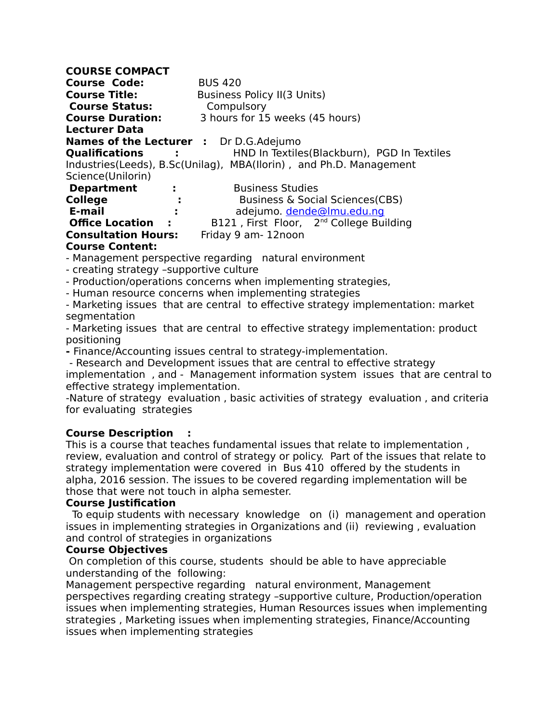| <b>COURSE COMPACT</b>                         |                                                                       |
|-----------------------------------------------|-----------------------------------------------------------------------|
| <b>Course Code:</b>                           | <b>BUS 420</b>                                                        |
| <b>Course Title:</b>                          | Business Policy II(3 Units)                                           |
| <b>Course Status:</b>                         | Compulsory                                                            |
| <b>Course Duration:</b>                       | 3 hours for 15 weeks (45 hours)                                       |
| <b>Lecturer Data</b>                          |                                                                       |
| <b>Names of the Lecturer :</b> Dr D.G.Adejumo |                                                                       |
|                                               | <b>Qualifications :</b> HND In Textiles (Blackburn), PGD In Textiles  |
|                                               | Industries (Leeds), B.Sc (Unilag), MBA (Ilorin), and Ph.D. Management |
| Science(Unilorin)                             |                                                                       |
| <b>Department</b><br><b>Contract Contract</b> | <b>Business Studies</b>                                               |
| <b>College</b><br>-1                          | Business & Social Sciences (CBS)                                      |
| E-mail<br>÷                                   | adejumo. dende@lmu.edu.nq                                             |
| <b>Office Location</b><br>- 1                 | B121, First Floor, 2 <sup>nd</sup> College Building                   |
| <b>Consultation Hours:</b>                    | Friday 9 am-12noon                                                    |
| <b>Course Content:</b>                        |                                                                       |

- Management perspective regarding natural environment

- creating strategy –supportive culture
- Production/operations concerns when implementing strategies,
- Human resource concerns when implementing strategies

- Marketing issues that are central to effective strategy implementation: market segmentation

- Marketing issues that are central to effective strategy implementation: product positioning

**-** Finance/Accounting issues central to strategy-implementation.

- Research and Development issues that are central to effective strategy

implementation , and - Management information system issues that are central to effective strategy implementation.

-Nature of strategy evaluation , basic activities of strategy evaluation , and criteria for evaluating strategies

#### **Course Description :**

This is a course that teaches fundamental issues that relate to implementation , review, evaluation and control of strategy or policy. Part of the issues that relate to strategy implementation were covered in Bus 410 offered by the students in alpha, 2016 session. The issues to be covered regarding implementation will be those that were not touch in alpha semester.

#### **Course Justification**

 To equip students with necessary knowledge on (i) management and operation issues in implementing strategies in Organizations and (ii) reviewing , evaluation and control of strategies in organizations

#### **Course Objectives**

On completion of this course, students should be able to have appreciable understanding of the following:

Management perspective regarding natural environment, Management perspectives regarding creating strategy –supportive culture, Production/operation issues when implementing strategies, Human Resources issues when implementing strategies , Marketing issues when implementing strategies, Finance/Accounting issues when implementing strategies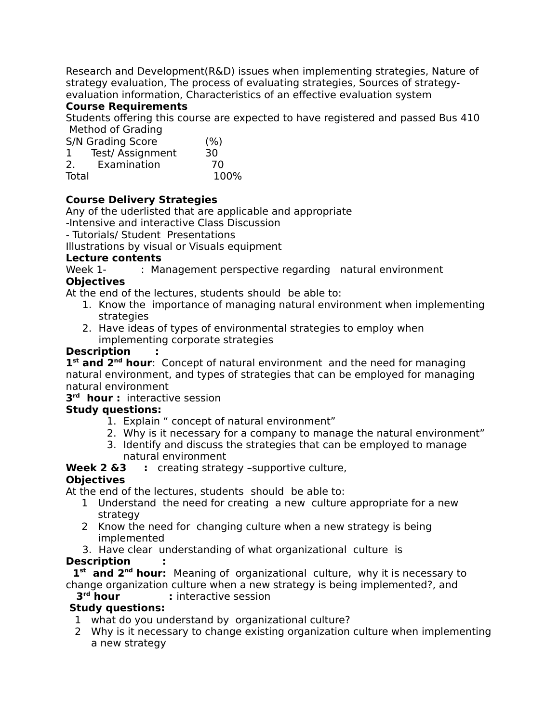Research and Development(R&D) issues when implementing strategies, Nature of strategy evaluation, The process of evaluating strategies, Sources of strategyevaluation information, Characteristics of an effective evaluation system

#### **Course Requirements**

Students offering this course are expected to have registered and passed Bus 410 Method of Grading

| S/N Grading Score     | (% ) |
|-----------------------|------|
| Test/ Assignment<br>1 | 30   |
| Examination<br>2.     | 70   |
| Total                 | 100% |

## **Course Delivery Strategies**

Any of the uderlisted that are applicable and appropriate

-Intensive and interactive Class Discussion

- Tutorials/ Student Presentations

Illustrations by visual or Visuals equipment

#### **Lecture contents**

Week 1- : Management perspective regarding natural environment

#### **Objectives**

At the end of the lectures, students shouldbe able to:

- 1. Know the importance of managing natural environment when implementing strategies
- 2. Have ideas of types of environmental strategies to employ when implementing corporate strategies

#### **Description :**

1<sup>st</sup> and 2<sup>nd</sup> hour: Concept of natural environment and the need for managing natural environment, and types of strategies that can be employed for managing natural environment

#### **3 rd hour :** interactive session

#### **Study questions:**

- 1. Explain " concept of natural environment"
- 2. Why is it necessary for a company to manage the natural environment"
- 3. Identify and discuss the strategies that can be employed to manage natural environment

**Week 2 &3** : creating strategy -supportive culture,

#### **Objectives**

At the end of the lectures, students shouldbe able to:

- 1 Understand the need for creating a new culture appropriate for a new strategy
- 2 Know the need for changing culture when a new strategy is being implemented
- 3. Have clear understanding of what organizational culture is

## **Description :**

 **1st and 2nd hour:** Meaning of organizational culture, why it is necessary to change organization culture when a new strategy is being implemented?, and

## **3rd hour :** interactive session

## **Study questions:**

- 1 what do you understand by organizational culture?
- 2 Why is it necessary to change existing organization culture when implementing a new strategy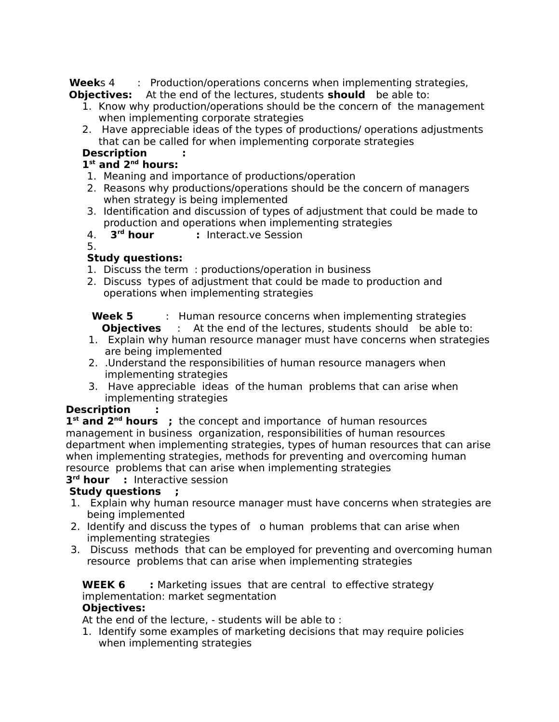**Week**s 4 : Production/operations concerns when implementing strategies, **Objectives:** At the end of the lectures, students **should** be able to:

- 1. Know why production/operations should be the concern of the management when implementing corporate strategies
- 2. Have appreciable ideas of the types of productions/ operations adjustments that can be called for when implementing corporate strategies

## **Description :**

## **1 st and 2nd hours:**

- 1. Meaning and importance of productions/operation
- 2. Reasons why productions/operations should be the concern of managers when strategy is being implemented
- 3. Identification and discussion of types of adjustment that could be made to production and operations when implementing strategies
- 4. **3rd hour :** Interact.ve Session
- 5.

# **Study questions:**

- 1. Discuss the term : productions/operation in business
- 2. Discuss types of adjustment that could be made to production and operations when implementing strategies

 **Week 5** : Human resource concerns when implementing strategies **Objectives** : At the end of the lectures, students shouldbe able to:

- 1. Explain why human resource manager must have concerns when strategies are being implemented
- 2. .Understand the responsibilities of human resource managers when implementing strategies
- 3. Have appreciable ideas of the human problems that can arise when implementing strategies

## **Description :**

**1 st and 2nd hours ;** the concept and importance of human resources management in business organization, responsibilities of human resources department when implementing strategies, types of human resources that can arise when implementing strategies, methods for preventing and overcoming human resource problems that can arise when implementing strategies **3 rd hour :** Interactive session

## **Study questions ;**

- 1. Explain why human resource manager must have concerns when strategies are being implemented
- 2. Identify and discuss the types of o human problems that can arise when implementing strategies
- 3. Discuss methods that can be employed for preventing and overcoming human resource problems that can arise when implementing strategies

#### **WEEK 6 :** Marketing issues that are central to effective strategy implementation: market segmentation **Objectives:**

At the end of the lecture, - students will be able to :

1. Identify some examples of marketing decisions that may require policies when implementing strategies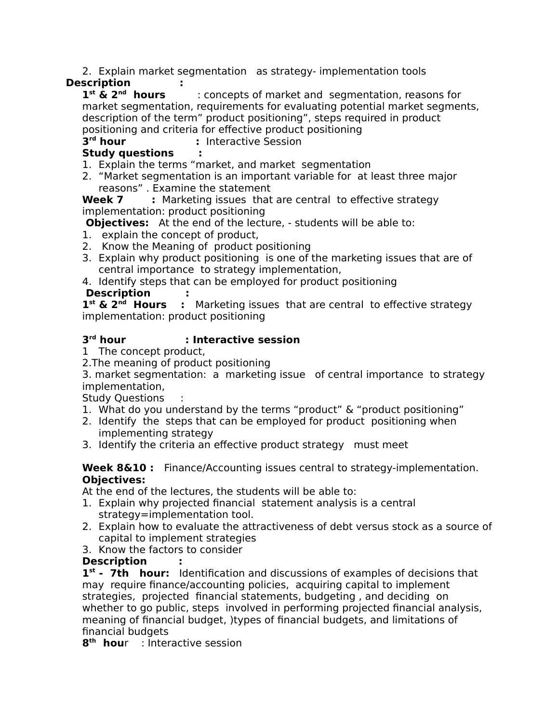2. Explain market segmentation as strategy- implementation tools

# **Description :**

 $1^{st}$  &  $2^{nd}$  hours **st & 2nd hours** : concepts of market and segmentation, reasons for market segmentation, requirements for evaluating potential market segments, description of the term" product positioning", steps required in product positioning and criteria for effective product positioning

3<sup>rd</sup> hour *r* Interactive Session

# **Study questions :**

1. Explain the terms "market, and market segmentation

2. "Market segmentation is an important variable for at least three major reasons" . Examine the statement

**Week 7** : Marketing issues that are central to effective strategy implementation: product positioning

**Objectives:** At the end of the lecture, - students will be able to:

- 1. explain the concept of product,
- 2. Know the Meaning of product positioning
- 3. Explain why product positioning is one of the marketing issues that are of central importance to strategy implementation,
- 4. Identify steps that can be employed for product positioning

## **Description :**

**1 st & 2nd Hours :** Marketing issues that are central to effective strategy implementation: product positioning

#### 3<sup>rd</sup> hour **rd hour : Interactive session**

1 The concept product,

2.The meaning of product positioning

3. market segmentation: a marketing issue of central importance to strategy implementation,

Study Questions :

- 1. What do you understand by the terms "product" & "product positioning"
- 2. Identify the steps that can be employed for product positioning when implementing strategy
- 3. Identify the criteria an effective product strategy must meet

**Week 8&10 :** Finance/Accounting issues central to strategy-implementation. **Objectives:**

At the end of the lectures, the students will be able to:

- 1. Explain why projected financial statement analysis is a central strategy=implementation tool.
- 2. Explain how to evaluate the attractiveness of debt versus stock as a source of capital to implement strategies
- 3. Know the factors to consider

## **Description :**

**1 st - 7th hour:** Identification and discussions of examples of decisions that may require finance/accounting policies, acquiring capital to implement strategies, projected financial statements, budgeting , and deciding on whether to go public, steps involved in performing projected financial analysis, meaning of financial budget, )types of financial budgets, and limitations of financial budgets

**8 th hou**r : Interactive session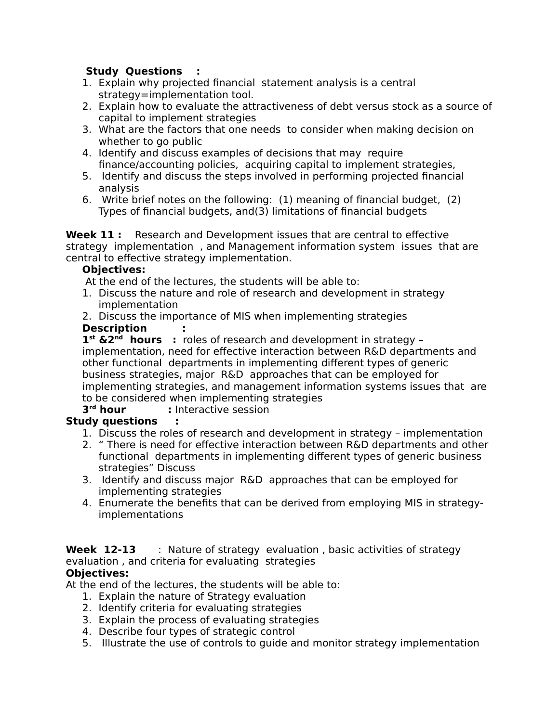## **Study Questions :**

- 1. Explain why projected financial statement analysis is a central strategy=implementation tool.
- 2. Explain how to evaluate the attractiveness of debt versus stock as a source of capital to implement strategies
- 3. What are the factors that one needs to consider when making decision on whether to go public
- 4. Identify and discuss examples of decisions that may require finance/accounting policies, acquiring capital to implement strategies,
- 5. Identify and discuss the steps involved in performing projected financial analysis
- 6. Write brief notes on the following: (1) meaning of financial budget, (2) Types of financial budgets, and(3) limitations of financial budgets

**Week 11 :** Research and Development issues that are central to effective strategy implementation , and Management information system issues that are central to effective strategy implementation.

#### **Objectives:**

At the end of the lectures, the students will be able to:

- 1. Discuss the nature and role of research and development in strategy implementation
- 2. Discuss the importance of MIS when implementing strategies

### **Description :**

**1 st &2nd hours :** roles of research and development in strategy – implementation, need for effective interaction between R&D departments and other functional departments in implementing different types of generic business strategies, major R&D approaches that can be employed for implementing strategies, and management information systems issues that are to be considered when implementing strategies

3<sup>rd</sup> hour **:** Interactive session

# **Study questions :**

- 1. Discuss the roles of research and development in strategy implementation
- 2. " There is need for effective interaction between R&D departments and other functional departments in implementing different types of generic business strategies" Discuss
- 3. Identify and discuss major R&D approaches that can be employed for implementing strategies
- 4. Enumerate the benefits that can be derived from employing MIS in strategyimplementations

#### **Week 12-13** : Nature of strategy evaluation, basic activities of strategy evaluation , and criteria for evaluating strategies **Objectives:**

At the end of the lectures, the students will be able to:

- 1. Explain the nature of Strategy evaluation
- 2. Identify criteria for evaluating strategies
- 3. Explain the process of evaluating strategies
- 4. Describe four types of strategic control
- 5. Illustrate the use of controls to guide and monitor strategy implementation